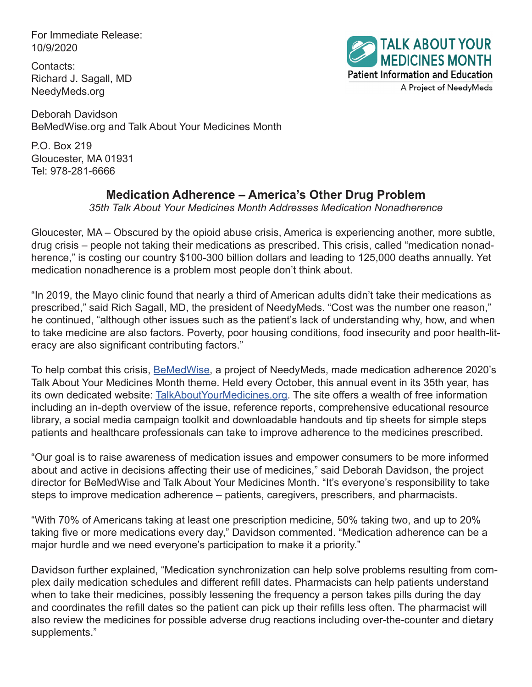For Immediate Release: 10/9/2020

Contacts: Richard J. Sagall, MD NeedyMeds.org



Deborah Davidson BeMedWise.org and Talk About Your Medicines Month

P.O. Box 219 Gloucester, MA 01931 Tel: 978-281-6666

## **Medication Adherence – America's Other Drug Problem**

*35th Talk About Your Medicines Month Addresses Medication Nonadherence*

Gloucester, MA – Obscured by the opioid abuse crisis, America is experiencing another, more subtle, drug crisis – people not taking their medications as prescribed. This crisis, called "medication nonadherence," is costing our country \$100-300 billion dollars and leading to 125,000 deaths annually. Yet medication nonadherence is a problem most people don't think about.

"In 2019, the Mayo clinic found that nearly a third of American adults didn't take their medications as prescribed," said Rich Sagall, MD, the president of NeedyMeds. "Cost was the number one reason," he continued, "although other issues such as the patient's lack of understanding why, how, and when to take medicine are also factors. Poverty, poor housing conditions, food insecurity and poor health-literacy are also significant contributing factors."

To help combat this crisis, **[BeMedWise](https://www.bemedwise.org/)**, a project of NeedyMeds, made medication adherence 2020's Talk About Your Medicines Month theme. Held every October, this annual event in its 35th year, has its own dedicated website: [TalkAboutYourMedicines.org.](https://www.talkaboutyourmedicines.org/) The site offers a wealth of free information including an in-depth overview of the issue, reference reports, comprehensive educational resource library, a social media campaign toolkit and downloadable handouts and tip sheets for simple steps patients and healthcare professionals can take to improve adherence to the medicines prescribed.

"Our goal is to raise awareness of medication issues and empower consumers to be more informed about and active in decisions affecting their use of medicines," said Deborah Davidson, the project director for BeMedWise and Talk About Your Medicines Month. "It's everyone's responsibility to take steps to improve medication adherence – patients, caregivers, prescribers, and pharmacists.

"With 70% of Americans taking at least one prescription medicine, 50% taking two, and up to 20% taking five or more medications every day," Davidson commented. "Medication adherence can be a major hurdle and we need everyone's participation to make it a priority."

Davidson further explained, "Medication synchronization can help solve problems resulting from complex daily medication schedules and different refill dates. Pharmacists can help patients understand when to take their medicines, possibly lessening the frequency a person takes pills during the day and coordinates the refill dates so the patient can pick up their refills less often. The pharmacist will also review the medicines for possible adverse drug reactions including over-the-counter and dietary supplements."